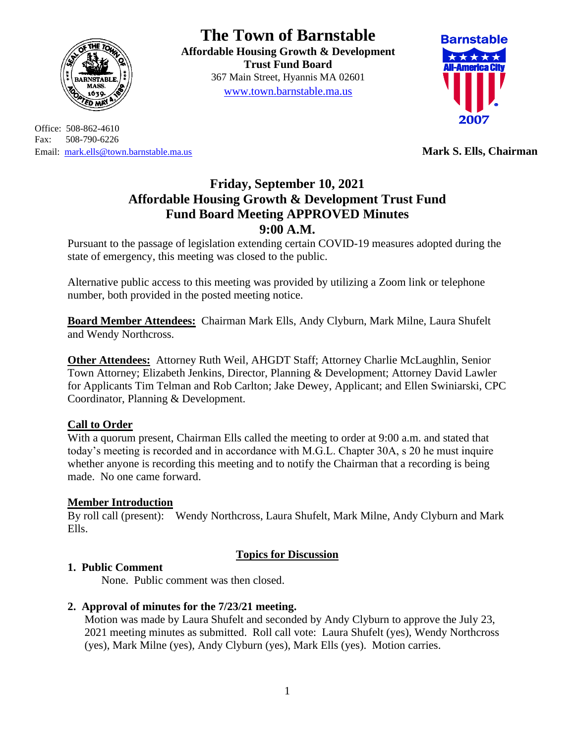

Office: 508-862-4610 Fax: 508-790-6226 Email: [mark.ells@town.barnstable.ma.us](mailto:mark.ells@town.barnstable.ma.us) **Mark S. Ells, Chairman**

# **The Town of Barnstable**

**Affordable Housing Growth & Development Trust Fund Board**  367 Main Street, Hyannis MA 02601 [www.town.barnstable.ma.us](http://www.town.barnstable.ma.us/)



# **Friday, September 10, 2021 Affordable Housing Growth & Development Trust Fund Fund Board Meeting APPROVED Minutes 9:00 A.M.**

Pursuant to the passage of legislation extending certain COVID-19 measures adopted during the state of emergency, this meeting was closed to the public.

Alternative public access to this meeting was provided by utilizing a Zoom link or telephone number, both provided in the posted meeting notice.

**Board Member Attendees:** Chairman Mark Ells, Andy Clyburn, Mark Milne, Laura Shufelt and Wendy Northcross.

**Other Attendees:** Attorney Ruth Weil, AHGDT Staff; Attorney Charlie McLaughlin, Senior Town Attorney; Elizabeth Jenkins, Director, Planning & Development; Attorney David Lawler for Applicants Tim Telman and Rob Carlton; Jake Dewey, Applicant; and Ellen Swiniarski, CPC Coordinator, Planning & Development.

# **Call to Order**

With a quorum present, Chairman Ells called the meeting to order at 9:00 a.m. and stated that today's meeting is recorded and in accordance with M.G.L. Chapter 30A, s 20 he must inquire whether anyone is recording this meeting and to notify the Chairman that a recording is being made. No one came forward.

# **Member Introduction**

By roll call (present): Wendy Northcross, Laura Shufelt, Mark Milne, Andy Clyburn and Mark Ells.

# **Topics for Discussion**

# **1. Public Comment**

None. Public comment was then closed.

# **2. Approval of minutes for the 7/23/21 meeting.**

Motion was made by Laura Shufelt and seconded by Andy Clyburn to approve the July 23, 2021 meeting minutes as submitted. Roll call vote: Laura Shufelt (yes), Wendy Northcross (yes), Mark Milne (yes), Andy Clyburn (yes), Mark Ells (yes). Motion carries.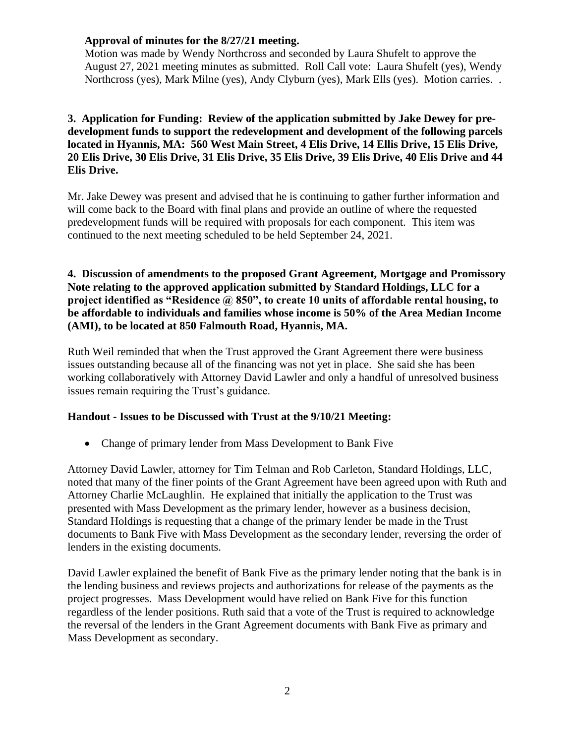## **Approval of minutes for the 8/27/21 meeting.**

Motion was made by Wendy Northcross and seconded by Laura Shufelt to approve the August 27, 2021 meeting minutes as submitted. Roll Call vote: Laura Shufelt (yes), Wendy Northcross (yes), Mark Milne (yes), Andy Clyburn (yes), Mark Ells (yes). Motion carries. .

# **3. Application for Funding: Review of the application submitted by Jake Dewey for predevelopment funds to support the redevelopment and development of the following parcels located in Hyannis, MA: 560 West Main Street, 4 Elis Drive, 14 Ellis Drive, 15 Elis Drive, 20 Elis Drive, 30 Elis Drive, 31 Elis Drive, 35 Elis Drive, 39 Elis Drive, 40 Elis Drive and 44 Elis Drive.**

Mr. Jake Dewey was present and advised that he is continuing to gather further information and will come back to the Board with final plans and provide an outline of where the requested predevelopment funds will be required with proposals for each component. This item was continued to the next meeting scheduled to be held September 24, 2021.

## **4. Discussion of amendments to the proposed Grant Agreement, Mortgage and Promissory Note relating to the approved application submitted by Standard Holdings, LLC for a project identified as "Residence @ 850", to create 10 units of affordable rental housing, to be affordable to individuals and families whose income is 50% of the Area Median Income (AMI), to be located at 850 Falmouth Road, Hyannis, MA.**

Ruth Weil reminded that when the Trust approved the Grant Agreement there were business issues outstanding because all of the financing was not yet in place. She said she has been working collaboratively with Attorney David Lawler and only a handful of unresolved business issues remain requiring the Trust's guidance.

#### **Handout - Issues to be Discussed with Trust at the 9/10/21 Meeting:**

• Change of primary lender from Mass Development to Bank Five

Attorney David Lawler, attorney for Tim Telman and Rob Carleton, Standard Holdings, LLC, noted that many of the finer points of the Grant Agreement have been agreed upon with Ruth and Attorney Charlie McLaughlin. He explained that initially the application to the Trust was presented with Mass Development as the primary lender, however as a business decision, Standard Holdings is requesting that a change of the primary lender be made in the Trust documents to Bank Five with Mass Development as the secondary lender, reversing the order of lenders in the existing documents.

David Lawler explained the benefit of Bank Five as the primary lender noting that the bank is in the lending business and reviews projects and authorizations for release of the payments as the project progresses. Mass Development would have relied on Bank Five for this function regardless of the lender positions. Ruth said that a vote of the Trust is required to acknowledge the reversal of the lenders in the Grant Agreement documents with Bank Five as primary and Mass Development as secondary.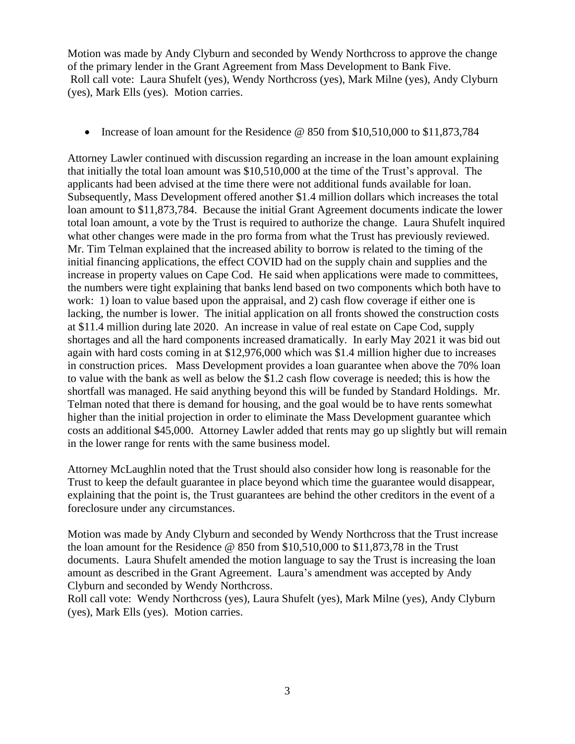Motion was made by Andy Clyburn and seconded by Wendy Northcross to approve the change of the primary lender in the Grant Agreement from Mass Development to Bank Five. Roll call vote: Laura Shufelt (yes), Wendy Northcross (yes), Mark Milne (yes), Andy Clyburn (yes), Mark Ells (yes). Motion carries.

• Increase of loan amount for the Residence @ 850 from \$10,510,000 to \$11,873,784

Attorney Lawler continued with discussion regarding an increase in the loan amount explaining that initially the total loan amount was \$10,510,000 at the time of the Trust's approval. The applicants had been advised at the time there were not additional funds available for loan. Subsequently, Mass Development offered another \$1.4 million dollars which increases the total loan amount to \$11,873,784. Because the initial Grant Agreement documents indicate the lower total loan amount, a vote by the Trust is required to authorize the change. Laura Shufelt inquired what other changes were made in the pro forma from what the Trust has previously reviewed. Mr. Tim Telman explained that the increased ability to borrow is related to the timing of the initial financing applications, the effect COVID had on the supply chain and supplies and the increase in property values on Cape Cod. He said when applications were made to committees, the numbers were tight explaining that banks lend based on two components which both have to work: 1) loan to value based upon the appraisal, and 2) cash flow coverage if either one is lacking, the number is lower. The initial application on all fronts showed the construction costs at \$11.4 million during late 2020. An increase in value of real estate on Cape Cod, supply shortages and all the hard components increased dramatically. In early May 2021 it was bid out again with hard costs coming in at \$12,976,000 which was \$1.4 million higher due to increases in construction prices. Mass Development provides a loan guarantee when above the 70% loan to value with the bank as well as below the \$1.2 cash flow coverage is needed; this is how the shortfall was managed. He said anything beyond this will be funded by Standard Holdings. Mr. Telman noted that there is demand for housing, and the goal would be to have rents somewhat higher than the initial projection in order to eliminate the Mass Development guarantee which costs an additional \$45,000. Attorney Lawler added that rents may go up slightly but will remain in the lower range for rents with the same business model.

Attorney McLaughlin noted that the Trust should also consider how long is reasonable for the Trust to keep the default guarantee in place beyond which time the guarantee would disappear, explaining that the point is, the Trust guarantees are behind the other creditors in the event of a foreclosure under any circumstances.

Motion was made by Andy Clyburn and seconded by Wendy Northcross that the Trust increase the loan amount for the Residence @ 850 from \$10,510,000 to \$11,873,78 in the Trust documents. Laura Shufelt amended the motion language to say the Trust is increasing the loan amount as described in the Grant Agreement. Laura's amendment was accepted by Andy Clyburn and seconded by Wendy Northcross.

Roll call vote: Wendy Northcross (yes), Laura Shufelt (yes), Mark Milne (yes), Andy Clyburn (yes), Mark Ells (yes). Motion carries.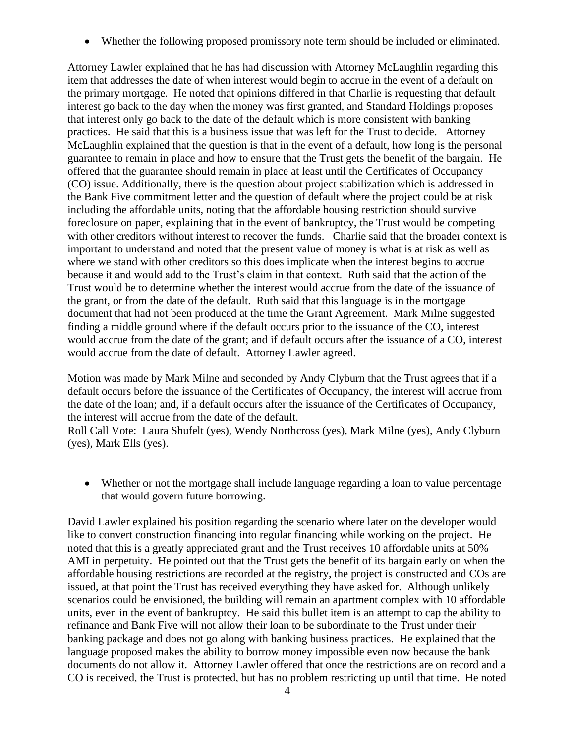• Whether the following proposed promissory note term should be included or eliminated.

Attorney Lawler explained that he has had discussion with Attorney McLaughlin regarding this item that addresses the date of when interest would begin to accrue in the event of a default on the primary mortgage. He noted that opinions differed in that Charlie is requesting that default interest go back to the day when the money was first granted, and Standard Holdings proposes that interest only go back to the date of the default which is more consistent with banking practices. He said that this is a business issue that was left for the Trust to decide. Attorney McLaughlin explained that the question is that in the event of a default, how long is the personal guarantee to remain in place and how to ensure that the Trust gets the benefit of the bargain. He offered that the guarantee should remain in place at least until the Certificates of Occupancy (CO) issue. Additionally, there is the question about project stabilization which is addressed in the Bank Five commitment letter and the question of default where the project could be at risk including the affordable units, noting that the affordable housing restriction should survive foreclosure on paper, explaining that in the event of bankruptcy, the Trust would be competing with other creditors without interest to recover the funds. Charlie said that the broader context is important to understand and noted that the present value of money is what is at risk as well as where we stand with other creditors so this does implicate when the interest begins to accrue because it and would add to the Trust's claim in that context. Ruth said that the action of the Trust would be to determine whether the interest would accrue from the date of the issuance of the grant, or from the date of the default. Ruth said that this language is in the mortgage document that had not been produced at the time the Grant Agreement. Mark Milne suggested finding a middle ground where if the default occurs prior to the issuance of the CO, interest would accrue from the date of the grant; and if default occurs after the issuance of a CO, interest would accrue from the date of default. Attorney Lawler agreed.

Motion was made by Mark Milne and seconded by Andy Clyburn that the Trust agrees that if a default occurs before the issuance of the Certificates of Occupancy, the interest will accrue from the date of the loan; and, if a default occurs after the issuance of the Certificates of Occupancy, the interest will accrue from the date of the default.

Roll Call Vote: Laura Shufelt (yes), Wendy Northcross (yes), Mark Milne (yes), Andy Clyburn (yes), Mark Ells (yes).

• Whether or not the mortgage shall include language regarding a loan to value percentage that would govern future borrowing.

David Lawler explained his position regarding the scenario where later on the developer would like to convert construction financing into regular financing while working on the project. He noted that this is a greatly appreciated grant and the Trust receives 10 affordable units at 50% AMI in perpetuity. He pointed out that the Trust gets the benefit of its bargain early on when the affordable housing restrictions are recorded at the registry, the project is constructed and COs are issued, at that point the Trust has received everything they have asked for. Although unlikely scenarios could be envisioned, the building will remain an apartment complex with 10 affordable units, even in the event of bankruptcy. He said this bullet item is an attempt to cap the ability to refinance and Bank Five will not allow their loan to be subordinate to the Trust under their banking package and does not go along with banking business practices. He explained that the language proposed makes the ability to borrow money impossible even now because the bank documents do not allow it. Attorney Lawler offered that once the restrictions are on record and a CO is received, the Trust is protected, but has no problem restricting up until that time. He noted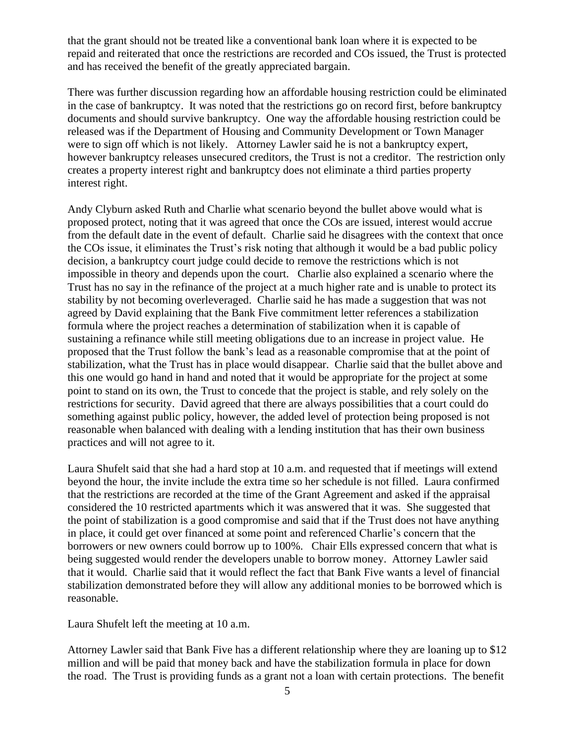that the grant should not be treated like a conventional bank loan where it is expected to be repaid and reiterated that once the restrictions are recorded and COs issued, the Trust is protected and has received the benefit of the greatly appreciated bargain.

There was further discussion regarding how an affordable housing restriction could be eliminated in the case of bankruptcy. It was noted that the restrictions go on record first, before bankruptcy documents and should survive bankruptcy. One way the affordable housing restriction could be released was if the Department of Housing and Community Development or Town Manager were to sign off which is not likely. Attorney Lawler said he is not a bankruptcy expert, however bankruptcy releases unsecured creditors, the Trust is not a creditor. The restriction only creates a property interest right and bankruptcy does not eliminate a third parties property interest right.

Andy Clyburn asked Ruth and Charlie what scenario beyond the bullet above would what is proposed protect, noting that it was agreed that once the COs are issued, interest would accrue from the default date in the event of default. Charlie said he disagrees with the context that once the COs issue, it eliminates the Trust's risk noting that although it would be a bad public policy decision, a bankruptcy court judge could decide to remove the restrictions which is not impossible in theory and depends upon the court. Charlie also explained a scenario where the Trust has no say in the refinance of the project at a much higher rate and is unable to protect its stability by not becoming overleveraged. Charlie said he has made a suggestion that was not agreed by David explaining that the Bank Five commitment letter references a stabilization formula where the project reaches a determination of stabilization when it is capable of sustaining a refinance while still meeting obligations due to an increase in project value. He proposed that the Trust follow the bank's lead as a reasonable compromise that at the point of stabilization, what the Trust has in place would disappear. Charlie said that the bullet above and this one would go hand in hand and noted that it would be appropriate for the project at some point to stand on its own, the Trust to concede that the project is stable, and rely solely on the restrictions for security. David agreed that there are always possibilities that a court could do something against public policy, however, the added level of protection being proposed is not reasonable when balanced with dealing with a lending institution that has their own business practices and will not agree to it.

Laura Shufelt said that she had a hard stop at 10 a.m. and requested that if meetings will extend beyond the hour, the invite include the extra time so her schedule is not filled. Laura confirmed that the restrictions are recorded at the time of the Grant Agreement and asked if the appraisal considered the 10 restricted apartments which it was answered that it was. She suggested that the point of stabilization is a good compromise and said that if the Trust does not have anything in place, it could get over financed at some point and referenced Charlie's concern that the borrowers or new owners could borrow up to 100%. Chair Ells expressed concern that what is being suggested would render the developers unable to borrow money. Attorney Lawler said that it would. Charlie said that it would reflect the fact that Bank Five wants a level of financial stabilization demonstrated before they will allow any additional monies to be borrowed which is reasonable.

Laura Shufelt left the meeting at 10 a.m.

Attorney Lawler said that Bank Five has a different relationship where they are loaning up to \$12 million and will be paid that money back and have the stabilization formula in place for down the road. The Trust is providing funds as a grant not a loan with certain protections. The benefit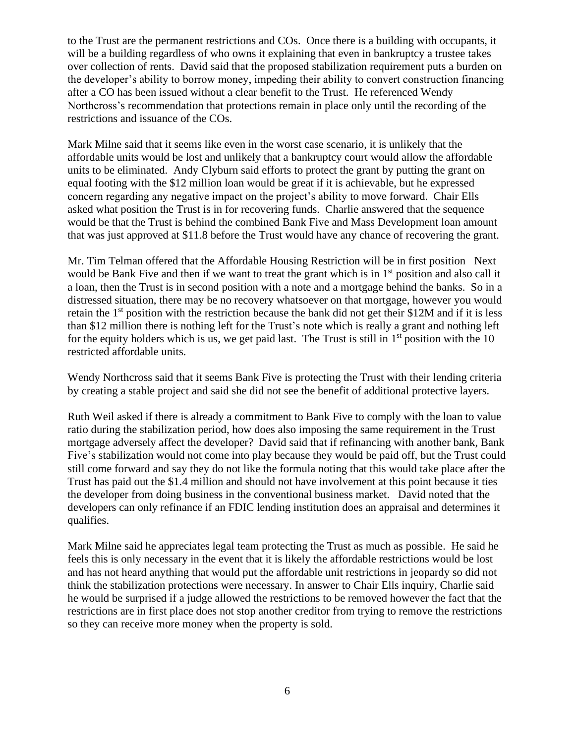to the Trust are the permanent restrictions and COs. Once there is a building with occupants, it will be a building regardless of who owns it explaining that even in bankruptcy a trustee takes over collection of rents. David said that the proposed stabilization requirement puts a burden on the developer's ability to borrow money, impeding their ability to convert construction financing after a CO has been issued without a clear benefit to the Trust. He referenced Wendy Northcross's recommendation that protections remain in place only until the recording of the restrictions and issuance of the COs.

Mark Milne said that it seems like even in the worst case scenario, it is unlikely that the affordable units would be lost and unlikely that a bankruptcy court would allow the affordable units to be eliminated. Andy Clyburn said efforts to protect the grant by putting the grant on equal footing with the \$12 million loan would be great if it is achievable, but he expressed concern regarding any negative impact on the project's ability to move forward. Chair Ells asked what position the Trust is in for recovering funds. Charlie answered that the sequence would be that the Trust is behind the combined Bank Five and Mass Development loan amount that was just approved at \$11.8 before the Trust would have any chance of recovering the grant.

Mr. Tim Telman offered that the Affordable Housing Restriction will be in first position Next would be Bank Five and then if we want to treat the grant which is in 1<sup>st</sup> position and also call it a loan, then the Trust is in second position with a note and a mortgage behind the banks. So in a distressed situation, there may be no recovery whatsoever on that mortgage, however you would retain the 1<sup>st</sup> position with the restriction because the bank did not get their \$12M and if it is less than \$12 million there is nothing left for the Trust's note which is really a grant and nothing left for the equity holders which is us, we get paid last. The Trust is still in  $1<sup>st</sup>$  position with the 10 restricted affordable units.

Wendy Northcross said that it seems Bank Five is protecting the Trust with their lending criteria by creating a stable project and said she did not see the benefit of additional protective layers.

Ruth Weil asked if there is already a commitment to Bank Five to comply with the loan to value ratio during the stabilization period, how does also imposing the same requirement in the Trust mortgage adversely affect the developer? David said that if refinancing with another bank, Bank Five's stabilization would not come into play because they would be paid off, but the Trust could still come forward and say they do not like the formula noting that this would take place after the Trust has paid out the \$1.4 million and should not have involvement at this point because it ties the developer from doing business in the conventional business market. David noted that the developers can only refinance if an FDIC lending institution does an appraisal and determines it qualifies.

Mark Milne said he appreciates legal team protecting the Trust as much as possible. He said he feels this is only necessary in the event that it is likely the affordable restrictions would be lost and has not heard anything that would put the affordable unit restrictions in jeopardy so did not think the stabilization protections were necessary. In answer to Chair Ells inquiry, Charlie said he would be surprised if a judge allowed the restrictions to be removed however the fact that the restrictions are in first place does not stop another creditor from trying to remove the restrictions so they can receive more money when the property is sold.